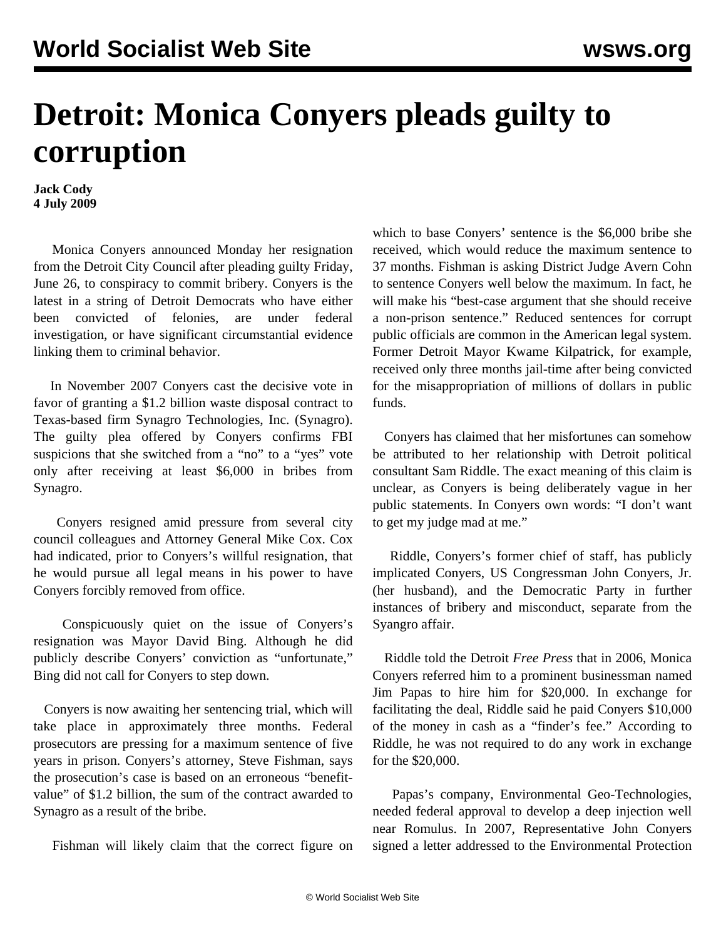## **Detroit: Monica Conyers pleads guilty to corruption**

**Jack Cody 4 July 2009**

 Monica Conyers announced Monday her resignation from the Detroit City Council after pleading guilty Friday, June 26, to conspiracy to commit bribery. Conyers is the latest in a string of Detroit Democrats who have either been convicted of felonies, are under federal investigation, or have significant circumstantial evidence linking them to criminal behavior.

 In November 2007 Conyers cast the decisive vote in favor of granting a \$1.2 billion waste disposal contract to Texas-based firm Synagro Technologies, Inc. (Synagro). The guilty plea offered by Conyers confirms FBI suspicions that she switched from a "no" to a "yes" vote only after receiving at least \$6,000 in bribes from Synagro.

 Conyers resigned amid pressure from several city council colleagues and Attorney General Mike Cox. Cox had indicated, prior to Conyers's willful resignation, that he would pursue all legal means in his power to have Conyers forcibly removed from office.

 Conspicuously quiet on the issue of Conyers's resignation was Mayor David Bing. Although he did publicly describe Conyers' conviction as "unfortunate," Bing did not call for Conyers to step down.

 Conyers is now awaiting her sentencing trial, which will take place in approximately three months. Federal prosecutors are pressing for a maximum sentence of five years in prison. Conyers's attorney, Steve Fishman, says the prosecution's case is based on an erroneous "benefitvalue" of \$1.2 billion, the sum of the contract awarded to Synagro as a result of the bribe.

Fishman will likely claim that the correct figure on

which to base Conyers' sentence is the \$6,000 bribe she received, which would reduce the maximum sentence to 37 months. Fishman is asking District Judge Avern Cohn to sentence Conyers well below the maximum. In fact, he will make his "best-case argument that she should receive a non-prison sentence." Reduced sentences for corrupt public officials are common in the American legal system. Former Detroit Mayor Kwame Kilpatrick, for example, received only three months jail-time after being convicted for the misappropriation of millions of dollars in public funds.

 Conyers has claimed that her misfortunes can somehow be attributed to her relationship with Detroit political consultant Sam Riddle. The exact meaning of this claim is unclear, as Conyers is being deliberately vague in her public statements. In Conyers own words: "I don't want to get my judge mad at me."

 Riddle, Conyers's former chief of staff, has publicly implicated Conyers, US Congressman John Conyers, Jr. (her husband), and the Democratic Party in further instances of bribery and misconduct, separate from the Syangro affair.

 Riddle told the Detroit *Free Press* that in 2006, Monica Conyers referred him to a prominent businessman named Jim Papas to hire him for \$20,000. In exchange for facilitating the deal, Riddle said he paid Conyers \$10,000 of the money in cash as a "finder's fee." According to Riddle, he was not required to do any work in exchange for the \$20,000.

 Papas's company, Environmental Geo-Technologies, needed federal approval to develop a deep injection well near Romulus. In 2007, Representative John Conyers signed a letter addressed to the Environmental Protection